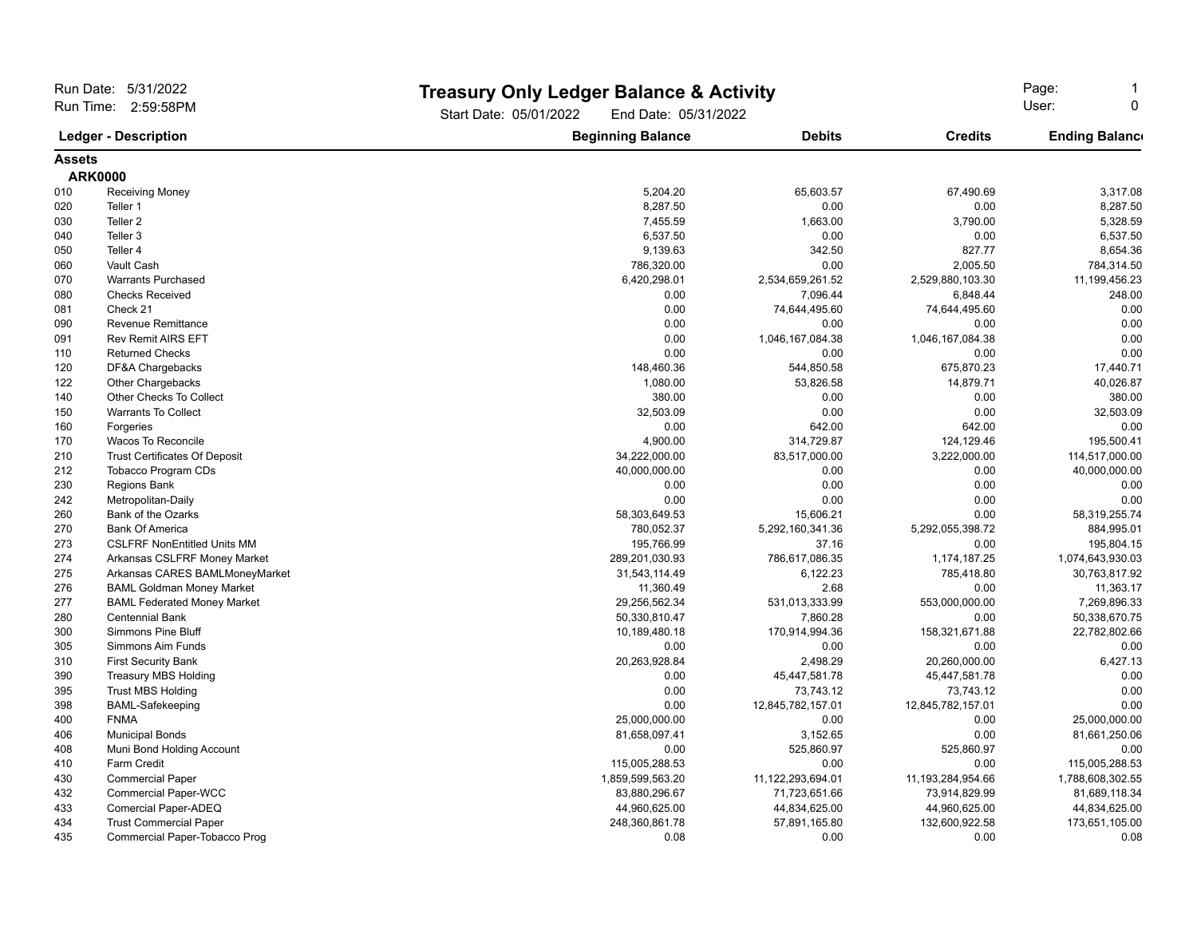| Run Date: 5/31/2022<br>Run Time: 2:59:58PM<br><b>Ledger - Description</b> |                                      | Start Date: 05/01/2022   | <b>Treasury Only Ledger Balance &amp; Activity</b><br>End Date: 05/31/2022 |                   |                       |
|---------------------------------------------------------------------------|--------------------------------------|--------------------------|----------------------------------------------------------------------------|-------------------|-----------------------|
|                                                                           |                                      | <b>Beginning Balance</b> | <b>Debits</b>                                                              | <b>Credits</b>    | <b>Ending Balance</b> |
| <b>Assets</b>                                                             |                                      |                          |                                                                            |                   |                       |
|                                                                           | <b>ARK0000</b>                       |                          |                                                                            |                   |                       |
| 010                                                                       | Receiving Money                      | 5,204.20                 | 65,603.57                                                                  | 67,490.69         | 3,317.08              |
| 020                                                                       | Teller 1                             | 8,287.50                 | 0.00                                                                       | 0.00              | 8,287.50              |
| 030                                                                       | Teller <sub>2</sub>                  | 7,455.59                 | 1,663.00                                                                   | 3,790.00          | 5,328.59              |
| 040                                                                       | Teller 3                             | 6,537.50                 | 0.00                                                                       | 0.00              | 6,537.50              |
| 050                                                                       | Teller 4                             | 9,139.63                 | 342.50                                                                     | 827.77            | 8,654.36              |
| 060                                                                       | Vault Cash                           | 786,320.00               | 0.00                                                                       | 2,005.50          | 784,314.50            |
| 070                                                                       | <b>Warrants Purchased</b>            | 6,420,298.01             | 2,534,659,261.52                                                           | 2,529,880,103.30  | 11,199,456.23         |
| 080                                                                       | <b>Checks Received</b>               | 0.00                     | 7,096.44                                                                   | 6,848.44          | 248.00                |
| 081                                                                       | Check 21                             | 0.00                     | 74,644,495.60                                                              | 74,644,495.60     | 0.00                  |
| 090                                                                       | Revenue Remittance                   | 0.00                     | 0.00                                                                       | 0.00              | 0.00                  |
| 091                                                                       | <b>Rev Remit AIRS EFT</b>            | 0.00                     | 1,046,167,084.38                                                           | 1,046,167,084.38  | 0.00                  |
| 110                                                                       | <b>Returned Checks</b>               | 0.00                     | 0.00                                                                       | 0.00              | 0.00                  |
| 120                                                                       | DF&A Chargebacks                     | 148,460.36               | 544,850.58                                                                 | 675,870.23        | 17,440.71             |
| 122                                                                       | Other Chargebacks                    | 1,080.00                 | 53,826.58                                                                  | 14,879.71         | 40,026.87             |
| 140                                                                       | Other Checks To Collect              | 380.00                   | 0.00                                                                       | 0.00              | 380.00                |
| 150                                                                       | <b>Warrants To Collect</b>           | 32,503.09                | 0.00                                                                       | 0.00              | 32,503.09             |
| 160                                                                       | Forgeries                            | 0.00                     | 642.00                                                                     | 642.00            | 0.00                  |
| 170                                                                       | Wacos To Reconcile                   | 4,900.00                 | 314,729.87                                                                 | 124,129.46        | 195,500.41            |
| 210                                                                       | <b>Trust Certificates Of Deposit</b> | 34,222,000.00            | 83,517,000.00                                                              | 3,222,000.00      | 114,517,000.00        |
| 212                                                                       | <b>Tobacco Program CDs</b>           | 40,000,000.00            | 0.00                                                                       | 0.00              | 40,000,000.00         |
| 230                                                                       | Regions Bank                         | 0.00                     | 0.00                                                                       | 0.00              | 0.00                  |
| 242                                                                       | Metropolitan-Daily                   | 0.00                     | 0.00                                                                       | 0.00              | 0.00                  |
| 260                                                                       | Bank of the Ozarks                   | 58,303,649.53            | 15,606.21                                                                  | 0.00              | 58,319,255.74         |
| 270                                                                       | <b>Bank Of America</b>               | 780,052.37               | 5,292,160,341.36                                                           | 5,292,055,398.72  | 884,995.01            |
| 273                                                                       | <b>CSLFRF NonEntitled Units MM</b>   | 195,766.99               | 37.16                                                                      | 0.00              | 195,804.15            |
| 274                                                                       | Arkansas CSLFRF Money Market         | 289,201,030.93           | 786,617,086.35                                                             | 1,174,187.25      | 1,074,643,930.03      |
| 275                                                                       | Arkansas CARES BAMLMoneyMarket       | 31,543,114.49            | 6,122.23                                                                   | 785,418.80        | 30,763,817.92         |
| 276                                                                       | <b>BAML Goldman Money Market</b>     | 11,360.49                | 2.68                                                                       | 0.00              | 11,363.17             |
| 277                                                                       | <b>BAML Federated Money Market</b>   | 29,256,562.34            | 531,013,333.99                                                             | 553,000,000.00    | 7,269,896.33          |
| 280                                                                       | <b>Centennial Bank</b>               | 50,330,810.47            | 7,860.28                                                                   | 0.00              | 50,338,670.75         |
| 300                                                                       | <b>Simmons Pine Bluff</b>            | 10,189,480.18            | 170,914,994.36                                                             | 158,321,671.88    | 22,782,802.66         |
| 305                                                                       | Simmons Aim Funds                    | 0.00                     | 0.00                                                                       | 0.00              | 0.00                  |
| 310                                                                       | <b>First Security Bank</b>           | 20,263,928.84            | 2,498.29                                                                   | 20,260,000.00     | 6,427.13              |
| 390                                                                       | <b>Treasury MBS Holding</b>          | 0.00                     | 45,447,581.78                                                              | 45,447,581.78     | 0.00                  |
| 395                                                                       | <b>Trust MBS Holding</b>             | 0.00                     | 73,743.12                                                                  | 73,743.12         | 0.00                  |
| 398                                                                       | <b>BAML-Safekeeping</b>              | 0.00                     | 12,845,782,157.01                                                          | 12,845,782,157.01 | 0.00                  |
| 400                                                                       | <b>FNMA</b>                          | 25,000,000.00            | 0.00                                                                       | 0.00              | 25,000,000.00         |
| 406                                                                       | <b>Municipal Bonds</b>               | 81,658,097.41            | 3,152.65                                                                   | 0.00              | 81,661,250.06         |
| 408                                                                       | Muni Bond Holding Account            | 0.00                     | 525,860.97                                                                 | 525,860.97        | 0.00                  |
| 410                                                                       | <b>Farm Credit</b>                   | 115,005,288.53           | 0.00                                                                       | 0.00              | 115,005,288.53        |
| 430                                                                       | <b>Commercial Paper</b>              | 1,859,599,563.20         | 11,122,293,694.01                                                          | 11,193,284,954.66 | 1,788,608,302.55      |
| 432                                                                       | <b>Commercial Paper-WCC</b>          | 83,880,296.67            | 71,723,651.66                                                              | 73,914,829.99     | 81,689,118.34         |
| 433                                                                       | Comercial Paper-ADEQ                 | 44,960,625.00            | 44,834,625.00                                                              | 44,960,625.00     | 44,834,625.00         |
| 434                                                                       | <b>Trust Commercial Paper</b>        | 248,360,861.78           | 57,891,165.80                                                              | 132,600,922.58    | 173,651,105.00        |
| 435                                                                       | Commercial Paper-Tobacco Prog        | 0.08                     | 0.00                                                                       | 0.00              | 0.08                  |